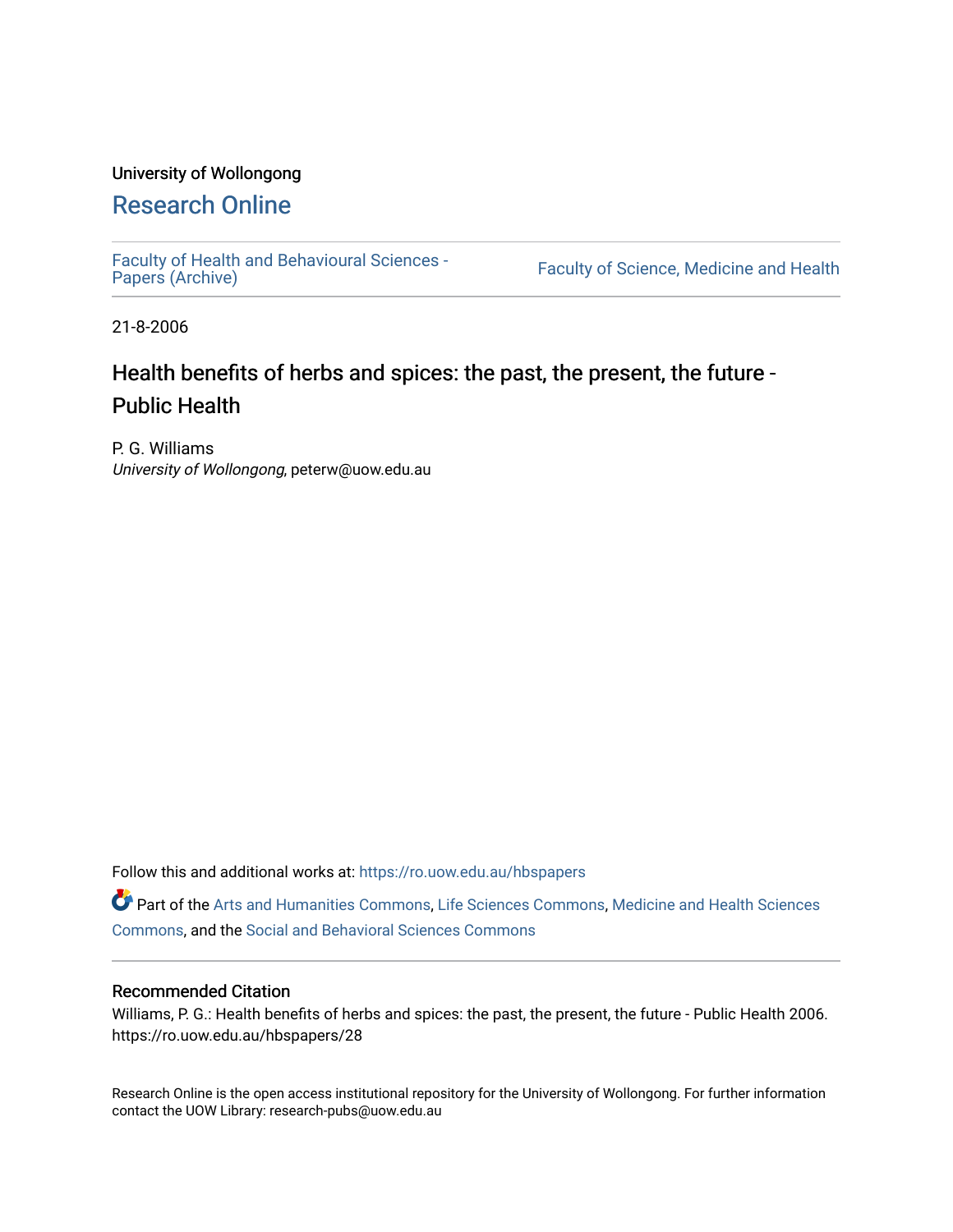## University of Wollongong

# [Research Online](https://ro.uow.edu.au/)

[Faculty of Health and Behavioural Sciences -](https://ro.uow.edu.au/hbspapers)<br>Papers (Archive)

Faculty of Science, Medicine and Health

21-8-2006

# Health benefits of herbs and spices: the past, the present, the future - Public Health

P. G. Williams University of Wollongong, peterw@uow.edu.au

Follow this and additional works at: [https://ro.uow.edu.au/hbspapers](https://ro.uow.edu.au/hbspapers?utm_source=ro.uow.edu.au%2Fhbspapers%2F28&utm_medium=PDF&utm_campaign=PDFCoverPages) 

Part of the [Arts and Humanities Commons,](http://network.bepress.com/hgg/discipline/438?utm_source=ro.uow.edu.au%2Fhbspapers%2F28&utm_medium=PDF&utm_campaign=PDFCoverPages) [Life Sciences Commons,](http://network.bepress.com/hgg/discipline/1016?utm_source=ro.uow.edu.au%2Fhbspapers%2F28&utm_medium=PDF&utm_campaign=PDFCoverPages) [Medicine and Health Sciences](http://network.bepress.com/hgg/discipline/648?utm_source=ro.uow.edu.au%2Fhbspapers%2F28&utm_medium=PDF&utm_campaign=PDFCoverPages) [Commons](http://network.bepress.com/hgg/discipline/648?utm_source=ro.uow.edu.au%2Fhbspapers%2F28&utm_medium=PDF&utm_campaign=PDFCoverPages), and the [Social and Behavioral Sciences Commons](http://network.bepress.com/hgg/discipline/316?utm_source=ro.uow.edu.au%2Fhbspapers%2F28&utm_medium=PDF&utm_campaign=PDFCoverPages)

#### Recommended Citation

Williams, P. G.: Health benefits of herbs and spices: the past, the present, the future - Public Health 2006. https://ro.uow.edu.au/hbspapers/28

Research Online is the open access institutional repository for the University of Wollongong. For further information contact the UOW Library: research-pubs@uow.edu.au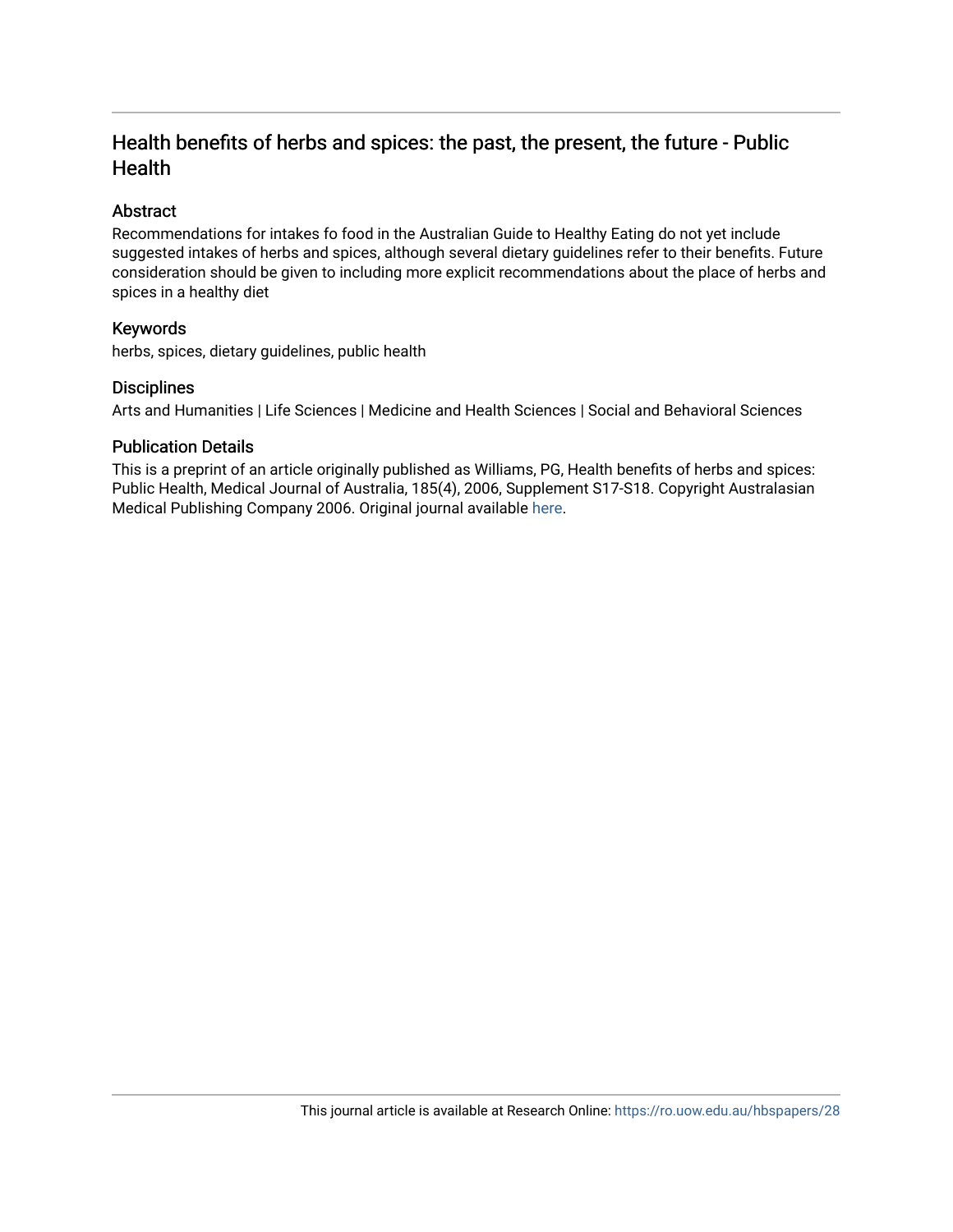# Health benefits of herbs and spices: the past, the present, the future - Public **Health**

#### Abstract

Recommendations for intakes fo food in the Australian Guide to Healthy Eating do not yet include suggested intakes of herbs and spices, although several dietary guidelines refer to their benefits. Future consideration should be given to including more explicit recommendations about the place of herbs and spices in a healthy diet

#### Keywords

herbs, spices, dietary guidelines, public health

#### **Disciplines**

Arts and Humanities | Life Sciences | Medicine and Health Sciences | Social and Behavioral Sciences

#### Publication Details

This is a preprint of an article originally published as Williams, PG, Health benefits of herbs and spices: Public Health, Medical Journal of Australia, 185(4), 2006, Supplement S17-S18. Copyright Australasian Medical Publishing Company 2006. Original journal available [here](http://www.mja.com.au/).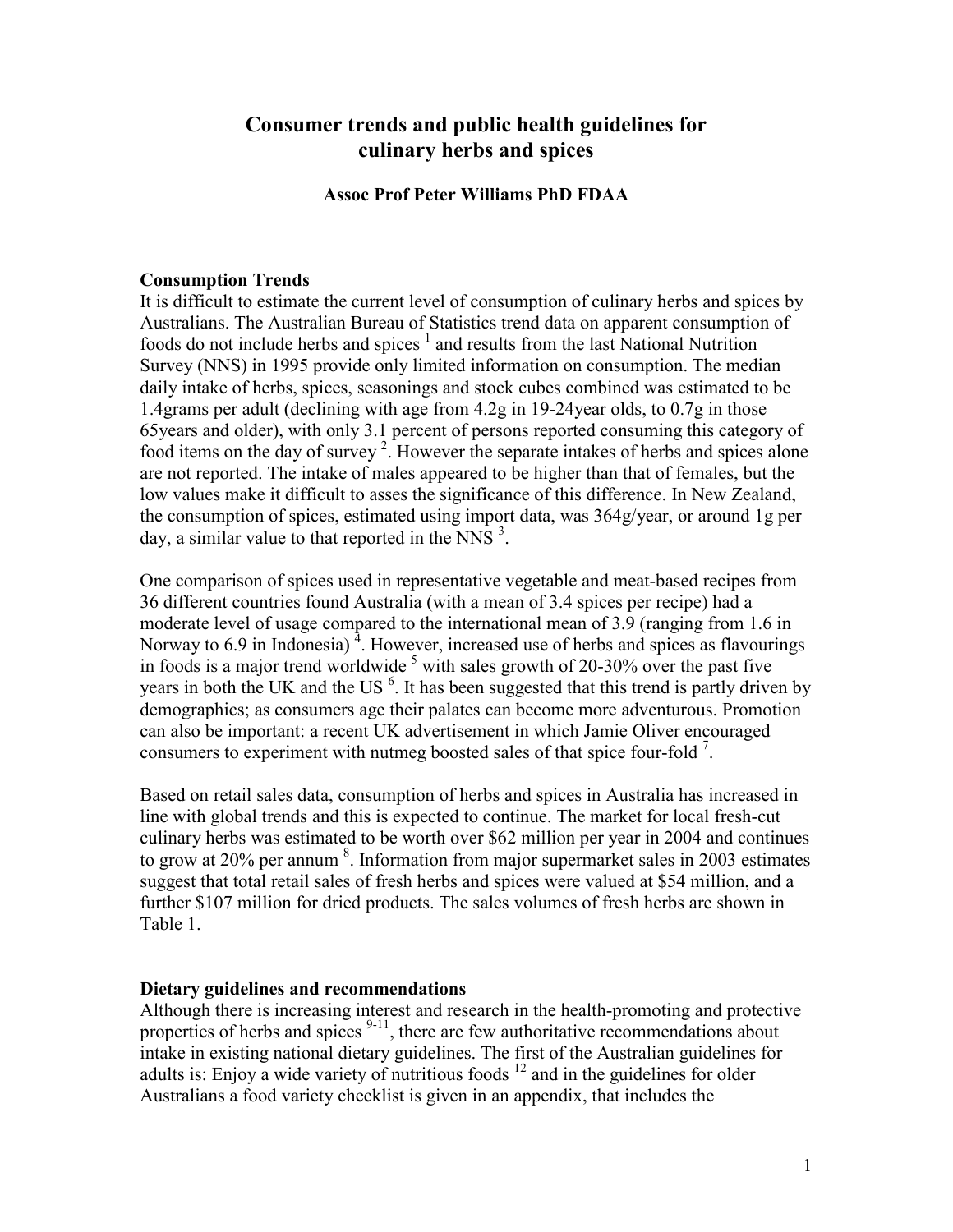## **Consumer trends and public health guidelines for culinary herbs and spices**

#### **Assoc Prof Peter Williams PhD FDAA**

#### **Consumption Trends**

It is difficult to estimate the current level of consumption of culinary herbs and spices by Australians. The Australian Bureau of Statistics trend data on apparent consumption of foods do not include herbs and spices  $<sup>1</sup>$  and results from the last National Nutrition</sup> Survey (NNS) in 1995 provide only limited information on consumption. The median daily intake of herbs, spices, seasonings and stock cubes combined was estimated to be 1.4grams per adult (declining with age from 4.2g in 19-24year olds, to 0.7g in those 65years and older), with only 3.1 percent of persons reported consuming this category of food items on the day of survey<sup>2</sup>. However the separate intakes of herbs and spices alone are not reported. The intake of males appeared to be higher than that of females, but the low values make it difficult to asses the significance of this difference. In New Zealand, the consumption of spices, estimated using import data, was 364g/year, or around 1g per day, a similar value to that reported in the NNS $^3$ .

One comparison of spices used in representative vegetable and meat-based recipes from 36 different countries found Australia (with a mean of 3.4 spices per recipe) had a moderate level of usage compared to the international mean of 3.9 (ranging from 1.6 in Norway to 6.9 in Indonesia)<sup>4</sup>. However, increased use of herbs and spices as flavourings in foods is a major trend worldwide  $5$  with sales growth of 20-30% over the past five years in both the UK and the US<sup>6</sup>. It has been suggested that this trend is partly driven by demographics; as consumers age their palates can become more adventurous. Promotion can also be important: a recent UK advertisement in which Jamie Oliver encouraged consumers to experiment with nutmeg boosted sales of that spice four-fold  $<sup>7</sup>$ .</sup>

Based on retail sales data, consumption of herbs and spices in Australia has increased in line with global trends and this is expected to continue. The market for local fresh-cut culinary herbs was estimated to be worth over \$62 million per year in 2004 and continues to grow at 20% per annum  $\delta$ . Information from major supermarket sales in 2003 estimates suggest that total retail sales of fresh herbs and spices were valued at \$54 million, and a further \$107 million for dried products. The sales volumes of fresh herbs are shown in Table 1.

#### **Dietary guidelines and recommendations**

Although there is increasing interest and research in the health-promoting and protective properties of herbs and spices  $9-11$ , there are few authoritative recommendations about intake in existing national dietary guidelines. The first of the Australian guidelines for adults is: Enjoy a wide variety of nutritious foods  $^{12}$  and in the guidelines for older Australians a food variety checklist is given in an appendix, that includes the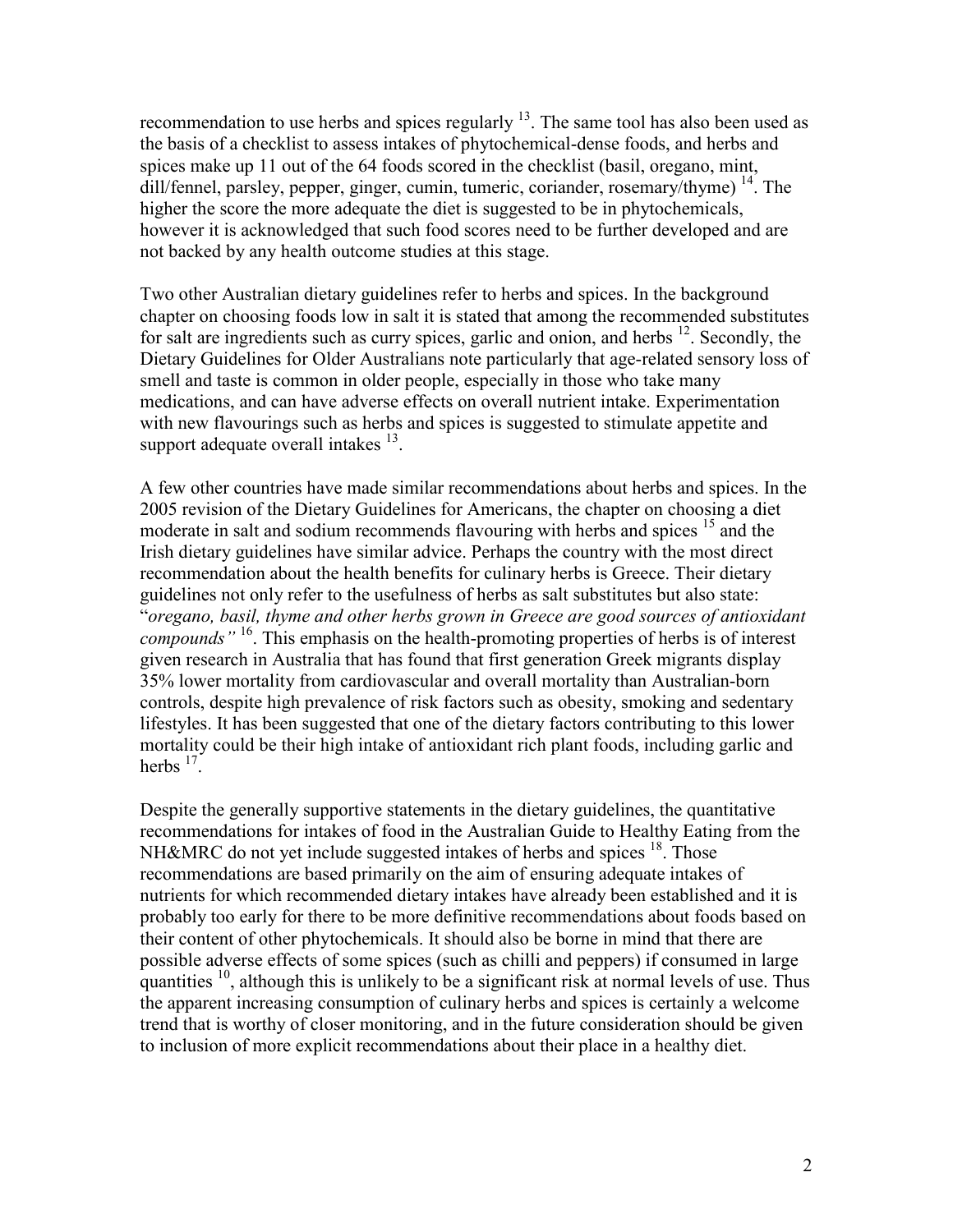recommendation to use herbs and spices regularly  $13$ . The same tool has also been used as the basis of a checklist to assess intakes of phytochemical-dense foods, and herbs and spices make up 11 out of the 64 foods scored in the checklist (basil, oregano, mint, dill/fennel, parsley, pepper, ginger, cumin, tumeric, coriander, rosemary/thyme)  $^{14}$ . The higher the score the more adequate the diet is suggested to be in phytochemicals, however it is acknowledged that such food scores need to be further developed and are not backed by any health outcome studies at this stage.

Two other Australian dietary guidelines refer to herbs and spices. In the background chapter on choosing foods low in salt it is stated that among the recommended substitutes for salt are ingredients such as curry spices, garlic and onion, and herbs  $^{12}$ . Secondly, the Dietary Guidelines for Older Australians note particularly that age-related sensory loss of smell and taste is common in older people, especially in those who take many medications, and can have adverse effects on overall nutrient intake. Experimentation with new flavourings such as herbs and spices is suggested to stimulate appetite and support adequate overall intakes  $^{13}$ .

A few other countries have made similar recommendations about herbs and spices. In the 2005 revision of the Dietary Guidelines for Americans, the chapter on choosing a diet moderate in salt and sodium recommends flavouring with herbs and spices <sup>15</sup> and the Irish dietary guidelines have similar advice. Perhaps the country with the most direct recommendation about the health benefits for culinary herbs is Greece. Their dietary guidelines not only refer to the usefulness of herbs as salt substitutes but also state: "*oregano, basil, thyme and other herbs grown in Greece are good sources of antioxidant compounds"* 16. This emphasis on the health-promoting properties of herbs is of interest given research in Australia that has found that first generation Greek migrants display 35% lower mortality from cardiovascular and overall mortality than Australian-born controls, despite high prevalence of risk factors such as obesity, smoking and sedentary lifestyles. It has been suggested that one of the dietary factors contributing to this lower mortality could be their high intake of antioxidant rich plant foods, including garlic and herbs  $17^{\degree}$ .

Despite the generally supportive statements in the dietary guidelines, the quantitative recommendations for intakes of food in the Australian Guide to Healthy Eating from the NH&MRC do not yet include suggested intakes of herbs and spices  $18$ . Those recommendations are based primarily on the aim of ensuring adequate intakes of nutrients for which recommended dietary intakes have already been established and it is probably too early for there to be more definitive recommendations about foods based on their content of other phytochemicals. It should also be borne in mind that there are possible adverse effects of some spices (such as chilli and peppers) if consumed in large quantities  $10$ , although this is unlikely to be a significant risk at normal levels of use. Thus the apparent increasing consumption of culinary herbs and spices is certainly a welcome trend that is worthy of closer monitoring, and in the future consideration should be given to inclusion of more explicit recommendations about their place in a healthy diet.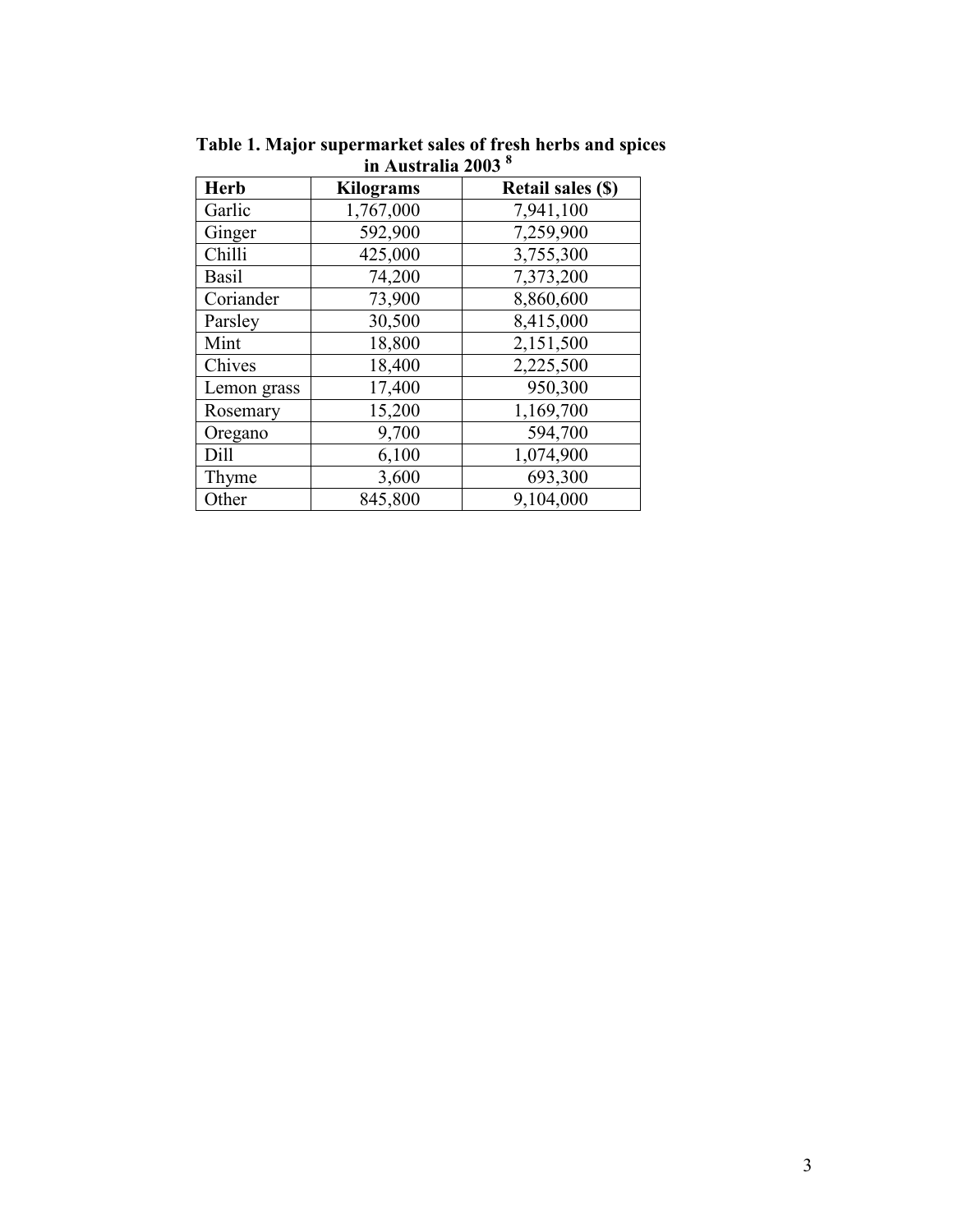| ш гуцэн аша 4000 |                  |                          |
|------------------|------------------|--------------------------|
| <b>Herb</b>      | <b>Kilograms</b> | <b>Retail sales (\$)</b> |
| Garlic           | 1,767,000        | 7,941,100                |
| Ginger           | 592,900          | 7,259,900                |
| Chilli           | 425,000          | 3,755,300                |
| <b>Basil</b>     | 74,200           | 7,373,200                |
| Coriander        | 73,900           | 8,860,600                |
| Parsley          | 30,500           | 8,415,000                |
| Mint             | 18,800           | 2,151,500                |
| Chives           | 18,400           | 2,225,500                |
| Lemon grass      | 17,400           | 950,300                  |
| Rosemary         | 15,200           | 1,169,700                |
| Oregano          | 9,700            | 594,700                  |
| Dill             | 6,100            | 1,074,900                |
| Thyme            | 3,600            | 693,300                  |
| Other            | 845,800          | 9,104,000                |

**Table 1. Major supermarket sales of fresh herbs and spices in Australia 2003 8**